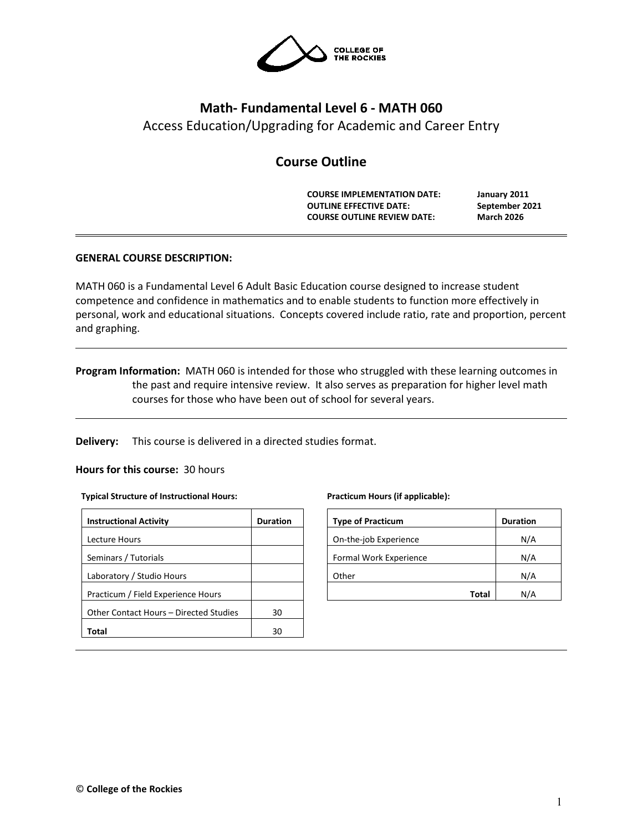

# **Math- Fundamental Level 6 - MATH 060** Access Education/Upgrading for Academic and Career Entry

## **Course Outline**

**COURSE IMPLEMENTATION DATE: January 2011 OUTLINE EFFECTIVE DATE: September 2021 COURSE OUTLINE REVIEW DATE: March 2026**

## **GENERAL COURSE DESCRIPTION:**

MATH 060 is a Fundamental Level 6 Adult Basic Education course designed to increase student competence and confidence in mathematics and to enable students to function more effectively in personal, work and educational situations. Concepts covered include ratio, rate and proportion, percent and graphing.

**Program Information:** MATH 060 is intended for those who struggled with these learning outcomes in the past and require intensive review. It also serves as preparation for higher level math courses for those who have been out of school for several years.

**Delivery:** This course is delivered in a directed studies format.

#### **Hours for this course:** 30 hours

#### **Typical Structure of Instructional Hours:**

| <b>Instructional Activity</b>          | <b>Duration</b> |
|----------------------------------------|-----------------|
| Lecture Hours                          |                 |
| Seminars / Tutorials                   |                 |
| Laboratory / Studio Hours              |                 |
| Practicum / Field Experience Hours     |                 |
| Other Contact Hours – Directed Studies | 30              |
| Total                                  | 30              |

#### **Practicum Hours (if applicable):**

| <b>Type of Practicum</b> | <b>Duration</b> |
|--------------------------|-----------------|
| On-the-job Experience    | N/A             |
| Formal Work Experience   | N/A             |
| Other                    | N/A             |
| Total                    | N/A             |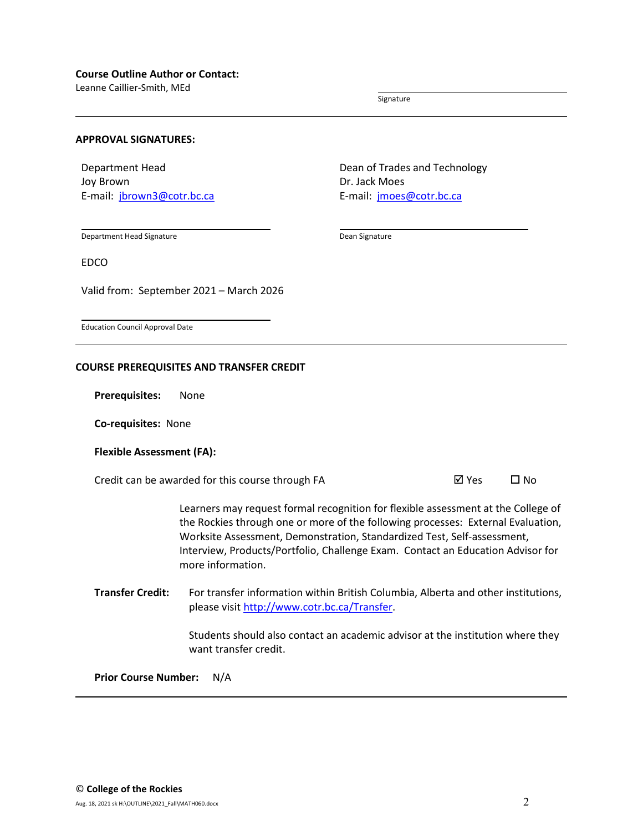Leanne Caillier-Smith, MEd

Signature

#### **APPROVAL SIGNATURES:**

Department Head Joy Brown E-mail: [jbrown3@cotr.bc.ca](mailto:jbrown3@cotr.bc.ca) Dean of Trades and Technology Dr. Jack Moes E-mail: *[jmoes@cotr.bc.ca](mailto:jmoes@cotr.bc.ca)* 

Department Head Signature

Dean Signature

EDCO

Valid from: September 2021 – March 2026

Education Council Approval Date

#### **COURSE PREREQUISITES AND TRANSFER CREDIT**

**Prerequisites:** None

**Co-requisites:** None

#### **Flexible Assessment (FA):**

Credit can be awarded for this course through FA  $\boxtimes$  Yes  $\Box$  No

Learners may request formal recognition for flexible assessment at the College of the Rockies through one or more of the following processes: External Evaluation, Worksite Assessment, Demonstration, Standardized Test, Self-assessment, Interview, Products/Portfolio, Challenge Exam. Contact an Education Advisor for more information.

**Transfer Credit:** For transfer information within British Columbia, Alberta and other institutions, please visit [http://www.cotr.bc.ca/Transfer.](http://www.cotr.bc.ca/Transfer)

> Students should also contact an academic advisor at the institution where they want transfer credit.

**Prior Course Number:** N/A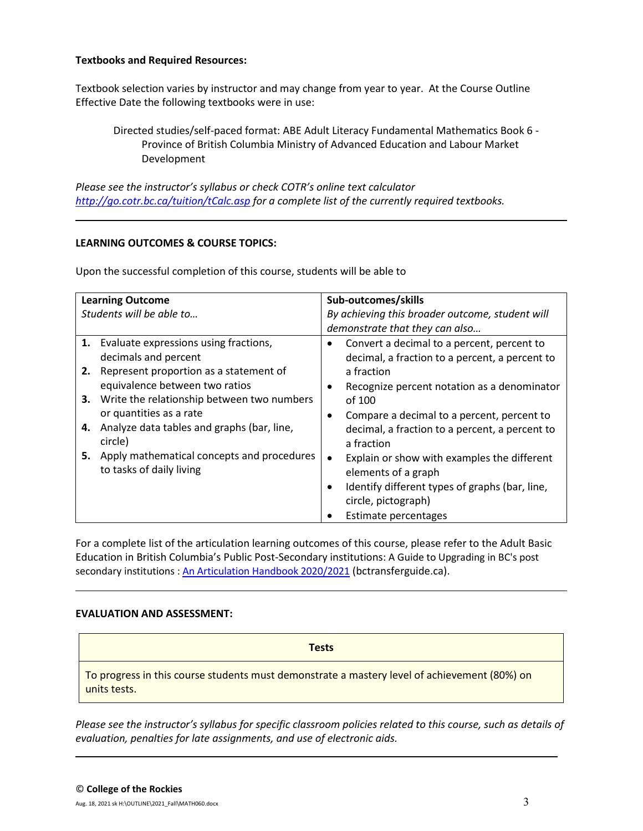## **Textbooks and Required Resources:**

Textbook selection varies by instructor and may change from year to year. At the Course Outline Effective Date the following textbooks were in use:

Directed studies/self-paced format: ABE Adult Literacy Fundamental Mathematics Book 6 - Province of British Columbia Ministry of Advanced Education and Labour Market Development

*Please see the instructor's syllabus or check COTR's online text calculator <http://go.cotr.bc.ca/tuition/tCalc.asp> for a complete list of the currently required textbooks.*

## **LEARNING OUTCOMES & COURSE TOPICS:**

Upon the successful completion of this course, students will be able to

| <b>Learning Outcome</b>                          | Sub-outcomes/skills                                         |
|--------------------------------------------------|-------------------------------------------------------------|
| Students will be able to                         | By achieving this broader outcome, student will             |
|                                                  | demonstrate that they can also                              |
| 1. Evaluate expressions using fractions,         | Convert a decimal to a percent, percent to                  |
| decimals and percent                             | decimal, a fraction to a percent, a percent to              |
| Represent proportion as a statement of<br>2.     | a fraction                                                  |
| equivalence between two ratios                   | Recognize percent notation as a denominator                 |
| Write the relationship between two numbers<br>3. | of 100                                                      |
| or quantities as a rate                          | Compare a decimal to a percent, percent to<br>$\bullet$     |
| Analyze data tables and graphs (bar, line,<br>4. | decimal, a fraction to a percent, a percent to              |
| circle)                                          | a fraction                                                  |
| Apply mathematical concepts and procedures<br>5. | Explain or show with examples the different<br>$\bullet$    |
| to tasks of daily living                         | elements of a graph                                         |
|                                                  | Identify different types of graphs (bar, line,<br>$\bullet$ |
|                                                  | circle, pictograph)                                         |
|                                                  | Estimate percentages                                        |

For a complete list of the articulation learning outcomes of this course, please refer to the Adult Basic Education in British Columbia's Public Post-Secondary institutions: A Guide to Upgrading in BC's post secondary institutions : [An Articulation Handbook 2020/2021](https://www.bctransferguide.ca/docs/ABE2020.pdf) (bctransferguide.ca).

#### **EVALUATION AND ASSESSMENT:**

| <b>Tests</b>                                                                                                 |
|--------------------------------------------------------------------------------------------------------------|
| To progress in this course students must demonstrate a mastery level of achievement (80%) on<br>units tests. |

*Please see the instructor's syllabus for specific classroom policies related to this course, such as details of evaluation, penalties for late assignments, and use of electronic aids.*